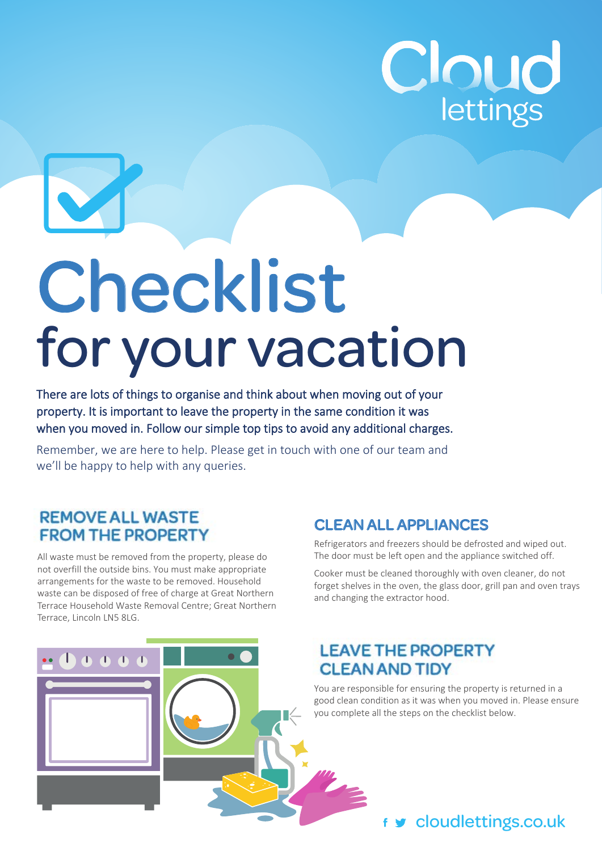

# Checklist for your vacation

There are lots of things to organise and think about when moving out of your property. It is important to leave the property in the same condition it was when you moved in. Follow our simple top tips to avoid any additional charges.

Remember, we are here to help. Please get in touch with one of our team and we'll be happy to help with any queries.

 $\bullet$ 

#### **REMOVE ALL WASTE FROM THE PROPERTY**

All waste must be removed from the property, please do not overfill the outside bins. You must make appropriate arrangements for the waste to be removed. Household waste can be disposed of free of charge at Great Northern Terrace Household Waste Removal Centre; Great Northern Terrace, Lincoln LN5 8LG.

### CLEAN ALL APPLIANCES

Refrigerators and freezers should be defrosted and wiped out. The door must be left open and the appliance switched off.

Cooker must be cleaned thoroughly with oven cleaner, do not forget shelves in the oven, the glass door, grill pan and oven trays and changing the extractor hood.

# **LEAVE THE PROPERTY CLEAN AND TIDY**

You are responsible for ensuring the property is returned in a good clean condition as it was when you moved in. Please ensure you complete all the steps on the checklist below.

# f **y** cloudlettings.co.uk